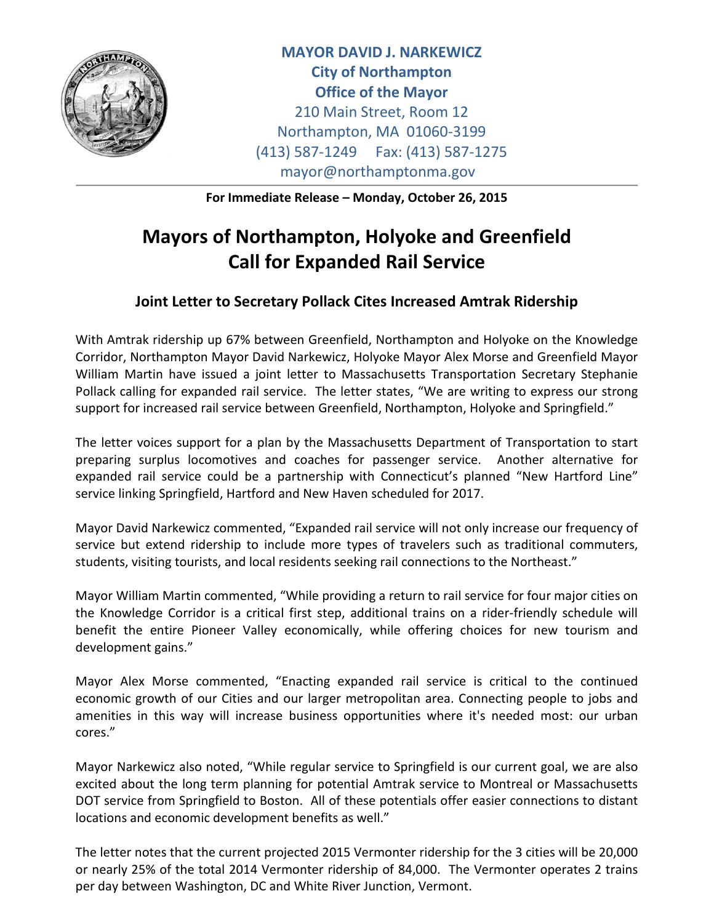

**MAYOR DAVID J. NARKEWICZ City of Northampton Office of the Mayor** 210 Main Street, Room 12 Northampton, MA 01060-3199 (413) 587-1249 Fax: (413) 587-1275 mayor@northamptonma.gov

**For Immediate Release – Monday, October 26, 2015**

## **Mayors of Northampton, Holyoke and Greenfield Call for Expanded Rail Service**

## **Joint Letter to Secretary Pollack Cites Increased Amtrak Ridership**

With Amtrak ridership up 67% between Greenfield, Northampton and Holyoke on the Knowledge Corridor, Northampton Mayor David Narkewicz, Holyoke Mayor Alex Morse and Greenfield Mayor William Martin have issued a joint letter to Massachusetts Transportation Secretary Stephanie Pollack calling for expanded rail service. The letter states, "We are writing to express our strong support for increased rail service between Greenfield, Northampton, Holyoke and Springfield."

The letter voices support for a plan by the Massachusetts Department of Transportation to start preparing surplus locomotives and coaches for passenger service. Another alternative for expanded rail service could be a partnership with Connecticut's planned "New Hartford Line" service linking Springfield, Hartford and New Haven scheduled for 2017.

Mayor David Narkewicz commented, "Expanded rail service will not only increase our frequency of service but extend ridership to include more types of travelers such as traditional commuters, students, visiting tourists, and local residents seeking rail connections to the Northeast."

Mayor William Martin commented, "While providing a return to rail service for four major cities on the Knowledge Corridor is a critical first step, additional trains on a rider-friendly schedule will benefit the entire Pioneer Valley economically, while offering choices for new tourism and development gains."

Mayor Alex Morse commented, "Enacting expanded rail service is critical to the continued economic growth of our Cities and our larger metropolitan area. Connecting people to jobs and amenities in this way will increase business opportunities where it's needed most: our urban cores."

Mayor Narkewicz also noted, "While regular service to Springfield is our current goal, we are also excited about the long term planning for potential Amtrak service to Montreal or Massachusetts DOT service from Springfield to Boston. All of these potentials offer easier connections to distant locations and economic development benefits as well."

The letter notes that the current projected 2015 Vermonter ridership for the 3 cities will be 20,000 or nearly 25% of the total 2014 Vermonter ridership of 84,000. The Vermonter operates 2 trains per day between Washington, DC and White River Junction, Vermont.